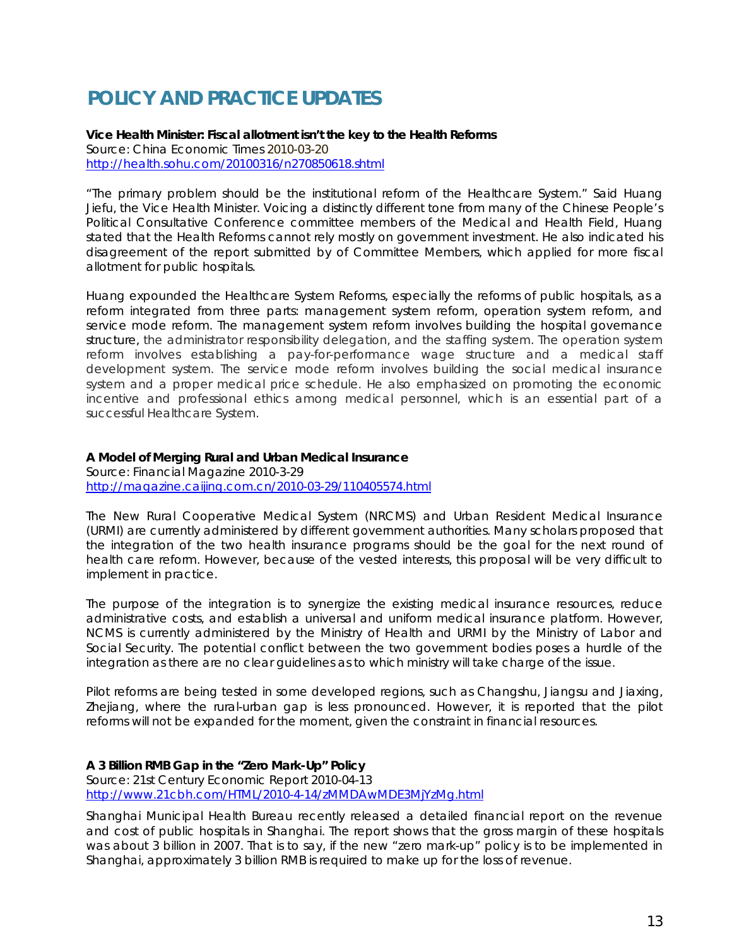# **POLICY AND PRACTICE UPDATES**

**Vice Health Minister: Fiscal allotment isn't the key to the Health Reforms**  Source: China Economic Times 2010-03-20 <http://health.sohu.com/20100316/n270850618.shtml>

"The primary problem should be the institutional reform of the Healthcare System." Said Huang Jiefu, the Vice Health Minister. Voicing a distinctly different tone from many of the Chinese People's Political Consultative Conference committee members of the Medical and Health Field, Huang stated that the Health Reforms cannot rely mostly on government investment. He also indicated his disagreement of the report submitted by of Committee Members, which applied for more fiscal allotment for public hospitals.

Huang expounded the Healthcare System Reforms, especially the reforms of public hospitals, as a reform integrated from three parts: management system reform, operation system reform, and service mode reform. The management system reform involves building the hospital governance structure, the administrator responsibility delegation, and the staffing system. The operation system reform involves establishing a pay-for-performance wage structure and a medical staff development system. The service mode reform involves building the social medical insurance system and a proper medical price schedule. He also emphasized on promoting the economic incentive and professional ethics among medical personnel, which is an essential part of a successful Healthcare System.

#### **A Model of Merging Rural and Urban Medical Insurance**

Source: Financial Magazine 2010-3-29 http://magazine.caijing.com.cn/2010-03-29/110405574.html

The New Rural Cooperative Medical System (NRCMS) and Urban Resident Medical Insurance (URMI) are currently administered by different government authorities. Many scholars proposed that the integration of the two health insurance programs should be the goal for the next round of health care reform. However, because of the vested interests, this proposal will be very difficult to implement in practice.

The purpose of the integration is to synergize the existing medical insurance resources, reduce administrative costs, and establish a universal and uniform medical insurance platform. However, NCMS is currently administered by the Ministry of Health and URMI by the Ministry of Labor and Social Security. The potential conflict between the two government bodies poses a hurdle of the integration as there are no clear guidelines as to which ministry will take charge of the issue.

Pilot reforms are being tested in some developed regions, such as Changshu, Jiangsu and Jiaxing, Zhejiang, where the rural-urban gap is less pronounced. However, it is reported that the pilot reforms will not be expanded for the moment, given the constraint in financial resources.

### **A 3 Billion RMB Gap in the "Zero Mark-Up" Policy**

Source: 21st Century Economic Report 2010-04-13 http://www.21cbh.com/HTML/2010-4-14/zMMDAwMDE3MjYzMg.html

Shanghai Municipal Health Bureau recently released a detailed financial report on the revenue and cost of public hospitals in Shanghai. The report shows that the gross margin of these hospitals was about 3 billion in 2007. That is to say, if the new "zero mark-up" policy is to be implemented in Shanghai, approximately 3 billion RMB is required to make up for the loss of revenue.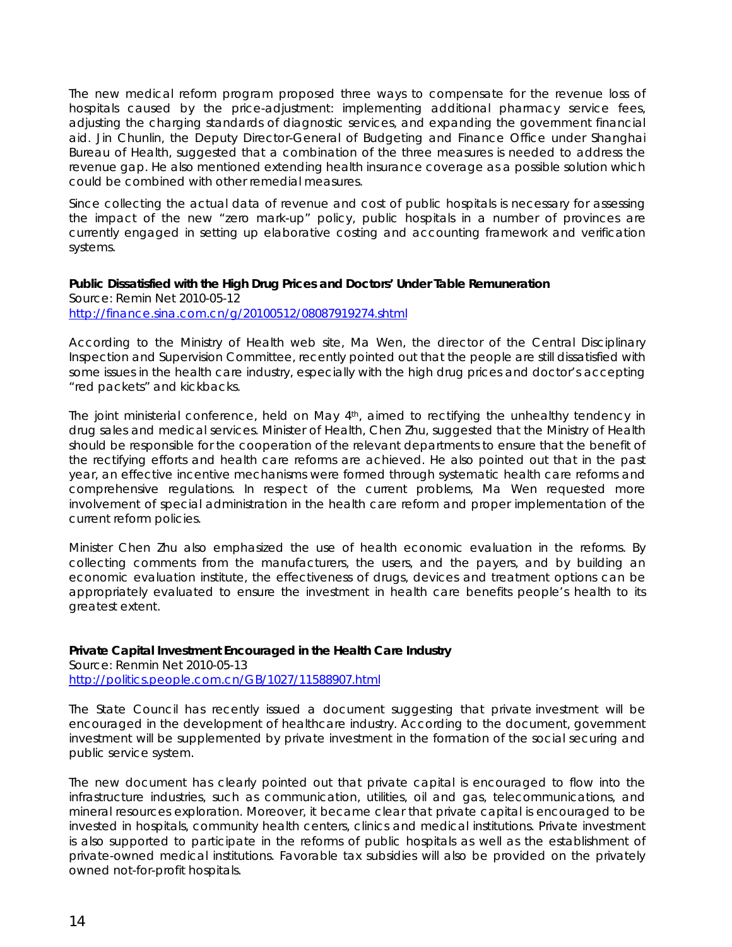The new medical reform program proposed three ways to compensate for the revenue loss of hospitals caused by the price-adjustment: implementing additional pharmacy service fees, adjusting the charging standards of diagnostic services, and expanding the government financial aid. Jin Chunlin, the Deputy Director-General of Budgeting and Finance Office under Shanghai Bureau of Health, suggested that a combination of the three measures is needed to address the revenue gap. He also mentioned extending health insurance coverage as a possible solution which could be combined with other remedial measures.

Since collecting the actual data of revenue and cost of public hospitals is necessary for assessing the impact of the new "zero mark-up" policy, public hospitals in a number of provinces are currently engaged in setting up elaborative costing and accounting framework and verification systems.

#### **Public Dissatisfied with the High Drug Prices and Doctors' Under Table Remuneration**

Source: Remin Net 2010-05-12 <http://finance.sina.com.cn/g/20100512/08087919274.shtml>

According to the Ministry of Health web site, Ma Wen, the director of the Central Disciplinary Inspection and Supervision Committee, recently pointed out that the people are still dissatisfied with some issues in the health care industry, especially with the high drug prices and doctor's accepting "red packets" and kickbacks.

The joint ministerial conference, held on May 4<sup>th</sup>, aimed to rectifying the unhealthy tendency in drug sales and medical services. Minister of Health, Chen Zhu, suggested that the Ministry of Health should be responsible for the cooperation of the relevant departments to ensure that the benefit of the rectifying efforts and health care reforms are achieved. He also pointed out that in the past year, an effective incentive mechanisms were formed through systematic health care reforms and comprehensive regulations. In respect of the current problems, Ma Wen requested more involvement of special administration in the health care reform and proper implementation of the current reform policies.

Minister Chen Zhu also emphasized the use of health economic evaluation in the reforms. By collecting comments from the manufacturers, the users, and the payers, and by building an economic evaluation institute, the effectiveness of drugs, devices and treatment options can be appropriately evaluated to ensure the investment in health care benefits people's health to its greatest extent.

## **Private Capital Investment Encouraged in the Health Care Industry**

Source: Renmin Net 2010-05-13 <http://politics.people.com.cn/GB/1027/11588907.html>

The State Council has recently issued a document suggesting that private investment will be encouraged in the development of healthcare industry. According to the document, government investment will be supplemented by private investment in the formation of the social securing and public service system.

The new document has clearly pointed out that private capital is encouraged to flow into the infrastructure industries, such as communication, utilities, oil and gas, telecommunications, and mineral resources exploration. Moreover, it became clear that private capital is encouraged to be invested in hospitals, community health centers, clinics and medical institutions. Private investment is also supported to participate in the reforms of public hospitals as well as the establishment of private-owned medical institutions. Favorable tax subsidies will also be provided on the privately owned not-for-profit hospitals.